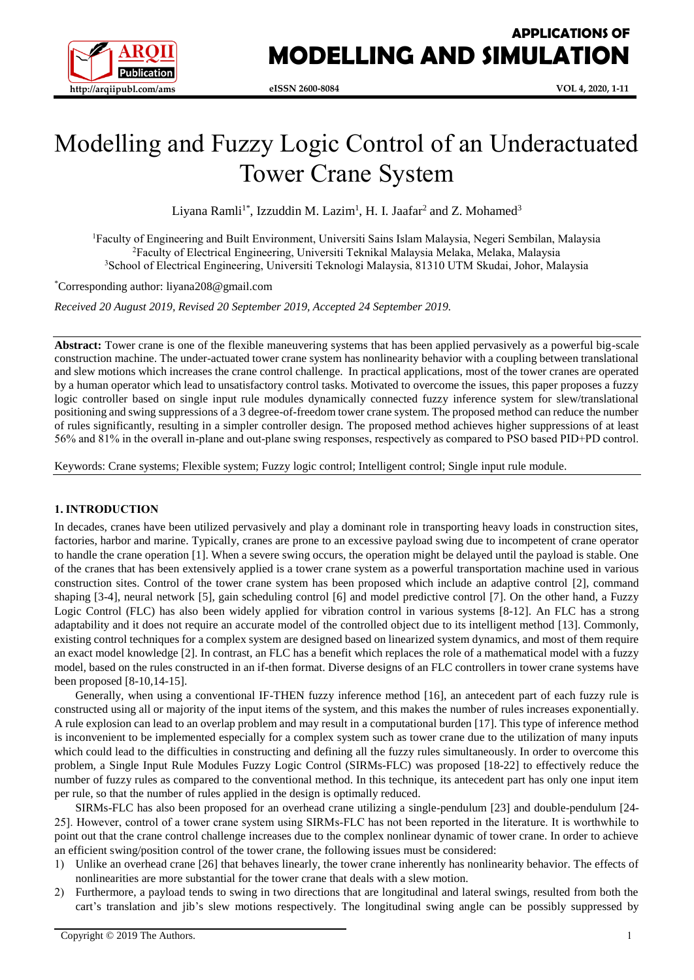

# Modelling and Fuzzy Logic Control of an Underactuated Tower Crane System

Liyana Ramli<sup>1\*</sup>, Izzuddin M. Lazim<sup>1</sup>, H. I. Jaafar<sup>2</sup> and Z. Mohamed<sup>3</sup>

<sup>1</sup>Faculty of Engineering and Built Environment, Universiti Sains Islam Malaysia, Negeri Sembilan, Malaysia <sup>2</sup>Faculty of Electrical Engineering, Universiti Teknikal Malaysia Melaka, Melaka, Malaysia <sup>3</sup>School of Electrical Engineering, Universiti Teknologi Malaysia, 81310 UTM Skudai, Johor, Malaysia

\*Corresponding author: liyana208@gmail.com

*Received 20 August 2019, Revised 20 September 2019, Accepted 24 September 2019.*

**Abstract:** Tower crane is one of the flexible maneuvering systems that has been applied pervasively as a powerful big-scale construction machine. The under-actuated tower crane system has nonlinearity behavior with a coupling between translational and slew motions which increases the crane control challenge. In practical applications, most of the tower cranes are operated by a human operator which lead to unsatisfactory control tasks. Motivated to overcome the issues, this paper proposes a fuzzy logic controller based on single input rule modules dynamically connected fuzzy inference system for slew/translational positioning and swing suppressions of a 3 degree-of-freedom tower crane system. The proposed method can reduce the number of rules significantly, resulting in a simpler controller design. The proposed method achieves higher suppressions of at least 56% and 81% in the overall in-plane and out-plane swing responses, respectively as compared to PSO based PID+PD control.

Keywords: Crane systems; Flexible system; Fuzzy logic control; Intelligent control; Single input rule module.

## **1. INTRODUCTION**

In decades, cranes have been utilized pervasively and play a dominant role in transporting heavy loads in construction sites, factories, harbor and marine. Typically, cranes are prone to an excessive payload swing due to incompetent of crane operator to handle the crane operation [1]. When a severe swing occurs, the operation might be delayed until the payload is stable. One of the cranes that has been extensively applied is a tower crane system as a powerful transportation machine used in various construction sites. Control of the tower crane system has been proposed which include an adaptive control [2], command shaping [3-4], neural network [5], gain scheduling control [6] and model predictive control [7]. On the other hand, a Fuzzy Logic Control (FLC) has also been widely applied for vibration control in various systems [8-12]. An FLC has a strong adaptability and it does not require an accurate model of the controlled object due to its intelligent method [13]. Commonly, existing control techniques for a complex system are designed based on linearized system dynamics, and most of them require an exact model knowledge [2]. In contrast, an FLC has a benefit which replaces the role of a mathematical model with a fuzzy model, based on the rules constructed in an if-then format. Diverse designs of an FLC controllers in tower crane systems have been proposed [8-10,14-15].

Generally, when using a conventional IF-THEN fuzzy inference method [16], an antecedent part of each fuzzy rule is constructed using all or majority of the input items of the system, and this makes the number of rules increases exponentially. A rule explosion can lead to an overlap problem and may result in a computational burden [17]. This type of inference method is inconvenient to be implemented especially for a complex system such as tower crane due to the utilization of many inputs which could lead to the difficulties in constructing and defining all the fuzzy rules simultaneously. In order to overcome this problem, a Single Input Rule Modules Fuzzy Logic Control (SIRMs-FLC) was proposed [18-22] to effectively reduce the number of fuzzy rules as compared to the conventional method. In this technique, its antecedent part has only one input item per rule, so that the number of rules applied in the design is optimally reduced.

SIRMs-FLC has also been proposed for an overhead crane utilizing a single-pendulum [23] and double-pendulum [24- 25]. However, control of a tower crane system using SIRMs-FLC has not been reported in the literature. It is worthwhile to point out that the crane control challenge increases due to the complex nonlinear dynamic of tower crane. In order to achieve an efficient swing/position control of the tower crane, the following issues must be considered:

- 1) Unlike an overhead crane [26] that behaves linearly, the tower crane inherently has nonlinearity behavior. The effects of nonlinearities are more substantial for the tower crane that deals with a slew motion.
- 2) Furthermore, a payload tends to swing in two directions that are longitudinal and lateral swings, resulted from both the cart's translation and jib's slew motions respectively. The longitudinal swing angle can be possibly suppressed by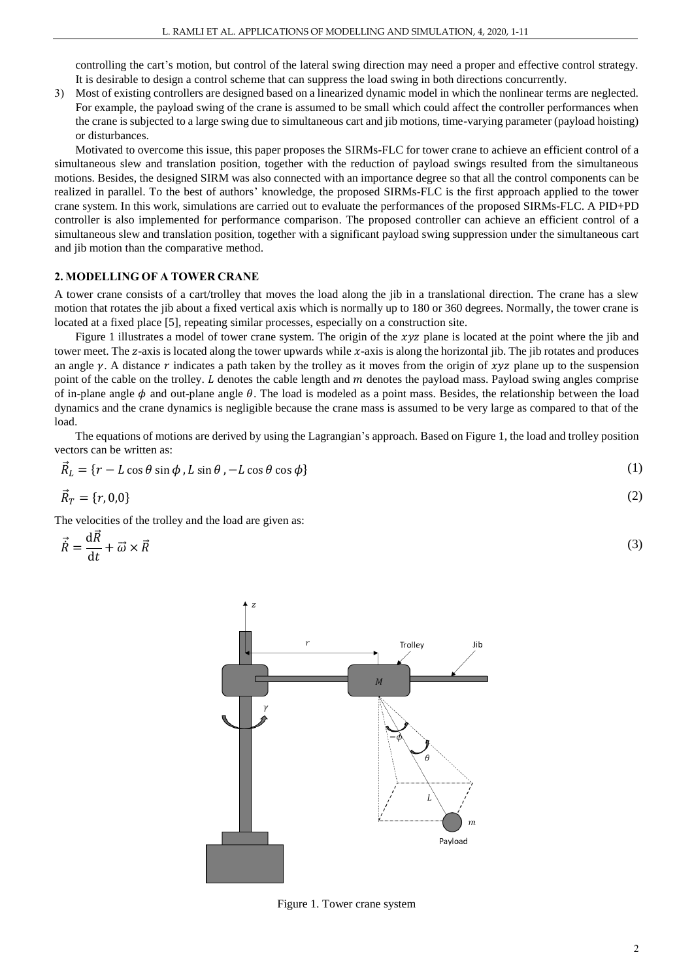controlling the cart's motion, but control of the lateral swing direction may need a proper and effective control strategy. It is desirable to design a control scheme that can suppress the load swing in both directions concurrently.

3) Most of existing controllers are designed based on a linearized dynamic model in which the nonlinear terms are neglected. For example, the payload swing of the crane is assumed to be small which could affect the controller performances when the crane is subjected to a large swing due to simultaneous cart and jib motions, time-varying parameter (payload hoisting) or disturbances.

Motivated to overcome this issue, this paper proposes the SIRMs-FLC for tower crane to achieve an efficient control of a simultaneous slew and translation position, together with the reduction of payload swings resulted from the simultaneous motions. Besides, the designed SIRM was also connected with an importance degree so that all the control components can be realized in parallel. To the best of authors' knowledge, the proposed SIRMs-FLC is the first approach applied to the tower crane system. In this work, simulations are carried out to evaluate the performances of the proposed SIRMs-FLC. A PID+PD controller is also implemented for performance comparison. The proposed controller can achieve an efficient control of a simultaneous slew and translation position, together with a significant payload swing suppression under the simultaneous cart and jib motion than the comparative method.

#### **2. MODELLING OF A TOWER CRANE**

A tower crane consists of a cart/trolley that moves the load along the jib in a translational direction. The crane has a slew motion that rotates the jib about a fixed vertical axis which is normally up to 180 or 360 degrees. Normally, the tower crane is located at a fixed place [5], repeating similar processes, especially on a construction site.

Figure 1 illustrates a model of tower crane system. The origin of the  $xyz$  plane is located at the point where the jib and tower meet. The z-axis is located along the tower upwards while  $x$ -axis is along the horizontal jib. The jib rotates and produces an angle  $\gamma$ . A distance r indicates a path taken by the trolley as it moves from the origin of  $\chi \nu z$  plane up to the suspension point of the cable on the trolley.  $L$  denotes the cable length and  $m$  denotes the payload mass. Payload swing angles comprise of in-plane angle  $\phi$  and out-plane angle  $\theta$ . The load is modeled as a point mass. Besides, the relationship between the load dynamics and the crane dynamics is negligible because the crane mass is assumed to be very large as compared to that of the load.

The equations of motions are derived by using the Lagrangian's approach. Based on Figure 1, the load and trolley position vectors can be written as:

$$
\vec{R}_L = \{r - L\cos\theta\sin\phi, L\sin\theta, -L\cos\theta\cos\phi\}
$$
 (1)

$$
\vec{R}_T = \{r, 0.0\} \tag{2}
$$

The velocities of the trolley and the load are given as:

$$
\vec{R} = \frac{\mathrm{d}\vec{R}}{\mathrm{d}t} + \vec{\omega} \times \vec{R} \tag{3}
$$



Figure 1. Tower crane system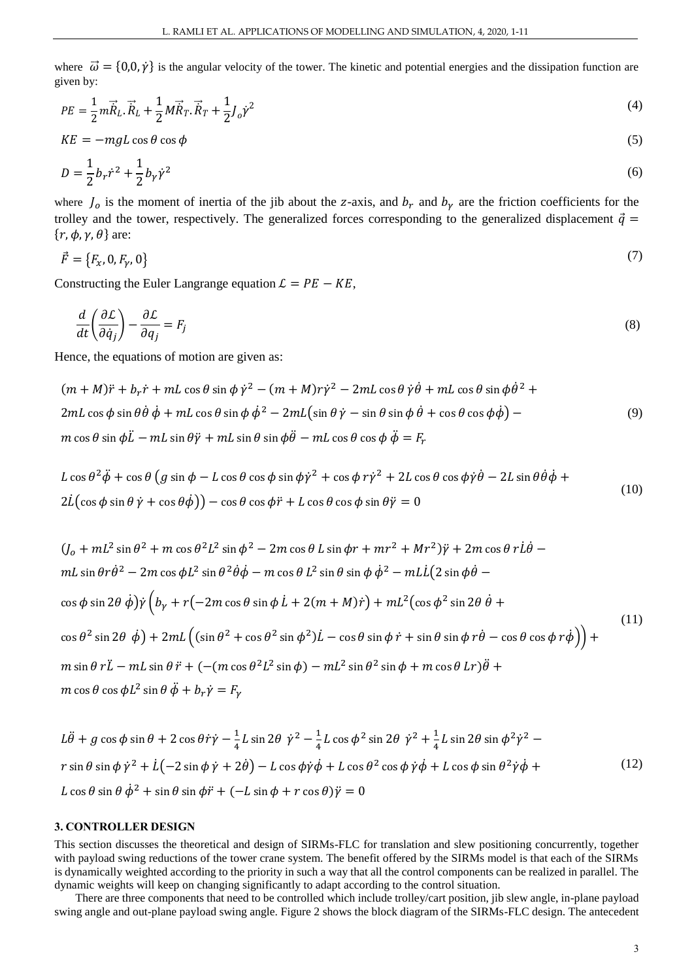where  $\vec{\omega} = \{0,0,\dot{\gamma}\}\$  is the angular velocity of the tower. The kinetic and potential energies and the dissipation function are given by:

$$
PE = \frac{1}{2}m\vec{R}_L \cdot \vec{R}_L + \frac{1}{2}M\vec{R}_T \cdot \vec{R}_T + \frac{1}{2}J_o\dot{\gamma}^2
$$
\n<sup>(4)</sup>

$$
KE = -mgL \cos\theta \cos\phi \tag{5}
$$

$$
D = \frac{1}{2}b_r\dot{r}^2 + \frac{1}{2}b_\gamma\dot{\gamma}^2\tag{6}
$$

where  $J_0$  is the moment of inertia of the jib about the z-axis, and  $b_r$  and  $b_\gamma$  are the friction coefficients for the trolley and the tower, respectively. The generalized forces corresponding to the generalized displacement  $\vec{q}$  =  $\{r, \phi, \gamma, \theta\}$  are:

$$
\vec{F} = \{F_x, 0, F_y, 0\} \tag{7}
$$

Constructing the Euler Langrange equation  $\mathcal{L} = PE - KE$ ,

$$
\frac{d}{dt}\left(\frac{\partial \mathcal{L}}{\partial \dot{q}_j}\right) - \frac{\partial \mathcal{L}}{\partial q_j} = F_j \tag{8}
$$

Hence, the equations of motion are given as:

$$
(m + M)\ddot{r} + b_r \dot{r} + mL \cos \theta \sin \phi \dot{\gamma}^2 - (m + M)r\dot{\gamma}^2 - 2mL \cos \theta \dot{\gamma}\dot{\theta} + mL \cos \theta \sin \phi \dot{\theta}^2 + 2mL \cos \phi \sin \theta \dot{\theta} \dot{\phi} + mL \cos \theta \sin \phi \dot{\phi}^2 - 2mL(\sin \theta \dot{\gamma} - \sin \theta \sin \phi \dot{\theta} + \cos \theta \cos \phi \dot{\phi}) - m \cos \theta \sin \phi \ddot{L} - mL \sin \theta \ddot{\gamma} + mL \sin \theta \sin \phi \ddot{\theta} - mL \cos \theta \cos \phi \ddot{\phi} = F_r
$$
\n(9)

$$
L\cos\theta^2\ddot{\phi} + \cos\theta\left(g\sin\phi - L\cos\theta\cos\phi\sin\phi\dot{\gamma}^2 + \cos\phi\,r\dot{\gamma}^2 + 2L\cos\theta\cos\phi\dot{\gamma}\dot{\theta} - 2L\sin\theta\dot{\theta}\dot{\phi} + 2\dot{L}(\cos\phi\sin\theta\dot{\gamma} + \cos\theta\dot{\phi})\right) - \cos\theta\cos\phi\ddot{\gamma} + L\cos\theta\cos\phi\sin\theta\ddot{\gamma} = 0
$$
\n(10)

$$
(J_o + mL^2 \sin \theta^2 + m \cos \theta^2 L^2 \sin \phi^2 - 2m \cos \theta L \sin \phi r + mr^2 + Mr^2) \ddot{\gamma} + 2m \cos \theta r L \dot{\theta} -
$$
  
\n
$$
mL \sin \theta r \dot{\theta}^2 - 2m \cos \phi L^2 \sin \theta^2 \dot{\theta} \dot{\phi} - m \cos \theta L^2 \sin \theta \sin \phi \dot{\phi}^2 - mLL (2 \sin \phi \dot{\theta} - \cos \phi \sin 2\theta \dot{\phi}) \dot{\gamma} \left( b_y + r(-2m \cos \theta \sin \phi L + 2(m + M) \dot{r}) + mL^2 (\cos \phi^2 \sin 2\theta \dot{\theta} + \cos \theta^2 \sin 2\theta \dot{\phi}) + 2mL \left( (\sin \theta^2 + \cos \theta^2 \sin \phi^2) L - \cos \theta \sin \phi \dot{r} + \sin \theta \sin \phi r \dot{\theta} - \cos \theta \cos \phi r \dot{\phi}) \right) +
$$
  
\n
$$
m \sin \theta r \ddot{L} - mL \sin \theta \ddot{r} + (-(m \cos \theta^2 L^2 \sin \phi) - mL^2 \sin \theta^2 \sin \phi + m \cos \theta Lr) \ddot{\theta} +
$$
  
\n
$$
m \cos \theta \cos \phi L^2 \sin \theta \ddot{\phi} + b_r \dot{\gamma} = F_\gamma
$$
\n(11)

$$
L\ddot{\theta} + g\cos\phi\sin\theta + 2\cos\theta\dot{r}\dot{\gamma} - \frac{1}{4}L\sin 2\theta \dot{\gamma}^2 - \frac{1}{4}L\cos\phi^2\sin 2\theta \dot{\gamma}^2 + \frac{1}{4}L\sin 2\theta\sin\phi^2\dot{\gamma}^2 -
$$
  
\n
$$
r\sin\theta\sin\phi\dot{\gamma}^2 + \dot{L}(-2\sin\phi\dot{\gamma} + 2\dot{\theta}) - L\cos\phi\dot{\gamma}\dot{\phi} + L\cos\theta^2\cos\phi\dot{\gamma}\dot{\phi} + L\cos\phi\sin\theta^2\dot{\gamma}\dot{\phi} +
$$
  
\n
$$
L\cos\theta\sin\theta\dot{\phi}^2 + \sin\theta\sin\phi\dot{r} + (-L\sin\phi + r\cos\theta)\dot{\gamma} = 0
$$
\n(12)

#### **3. CONTROLLER DESIGN**

This section discusses the theoretical and design of SIRMs-FLC for translation and slew positioning concurrently, together with payload swing reductions of the tower crane system. The benefit offered by the SIRMs model is that each of the SIRMs is dynamically weighted according to the priority in such a way that all the control components can be realized in parallel. The dynamic weights will keep on changing significantly to adapt according to the control situation.

There are three components that need to be controlled which include trolley/cart position, jib slew angle, in-plane payload swing angle and out-plane payload swing angle. Figure 2 shows the block diagram of the SIRMs-FLC design. The antecedent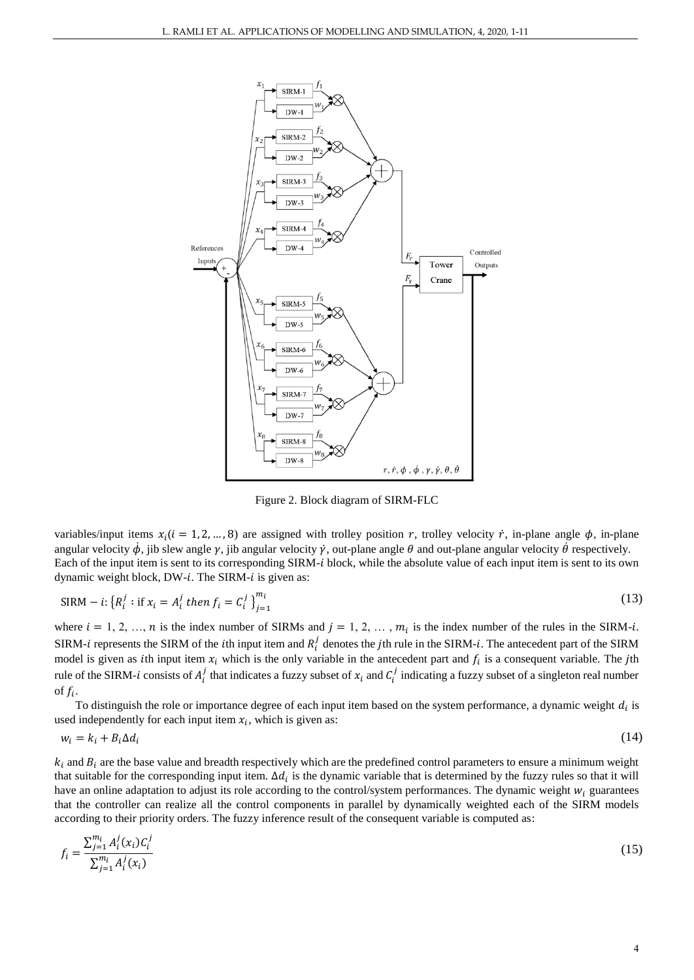

Figure 2. Block diagram of SIRM-FLC

variables/input items  $x_i$  ( $i = 1, 2, ..., 8$ ) are assigned with trolley position r, trolley velocity r, in-plane angle  $\phi$ , in-plane angular velocity  $\dot{\phi}$ , jib slew angle  $\gamma$ , jib angular velocity  $\dot{\gamma}$ , out-plane angle  $\theta$  and out-plane angular velocity  $\dot{\theta}$  respectively. Each of the input item is sent to its corresponding SIRM-*i* block, while the absolute value of each input item is sent to its own dynamic weight block,  $DW-i$ . The SIRM- $i$  is given as:

$$
SIRM - i: \{R_i^j : \text{if } x_i = A_i^j \text{ then } f_i = C_i^j\}_{j=1}^{m_i}
$$
\n(13)

where  $i = 1, 2, ..., n$  is the index number of SIRMs and  $j = 1, 2, ..., m_i$  is the index number of the rules in the SIRM-*i*. SIRM-*i* represents the SIRM of the *i*th input item and  $R_i^j$  denotes the *j*th rule in the SIRM-*i*. The antecedent part of the SIRM model is given as *i*th input item  $x_i$  which is the only variable in the antecedent part and  $f_i$  is a consequent variable. The *j*th rule of the SIRM-*i* consists of  $A_i^j$  that indicates a fuzzy subset of  $x_i$  and  $C_i^j$  indicating a fuzzy subset of a singleton real number of  $f_i$ .

To distinguish the role or importance degree of each input item based on the system performance, a dynamic weight  $d_i$  is used independently for each input item  $x_i$ , which is given as:

$$
w_i = k_i + B_i \Delta d_i \tag{14}
$$

 $k_i$  and  $B_i$  are the base value and breadth respectively which are the predefined control parameters to ensure a minimum weight that suitable for the corresponding input item.  $\Delta d_i$  is the dynamic variable that is determined by the fuzzy rules so that it will have an online adaptation to adjust its role according to the control/system performances. The dynamic weight  $w_i$  guarantees that the controller can realize all the control components in parallel by dynamically weighted each of the SIRM models according to their priority orders. The fuzzy inference result of the consequent variable is computed as:

$$
f_i = \frac{\sum_{j=1}^{m_i} A_i^j(x_i) C_i^j}{\sum_{j=1}^{m_i} A_i^j(x_i)}
$$
(15)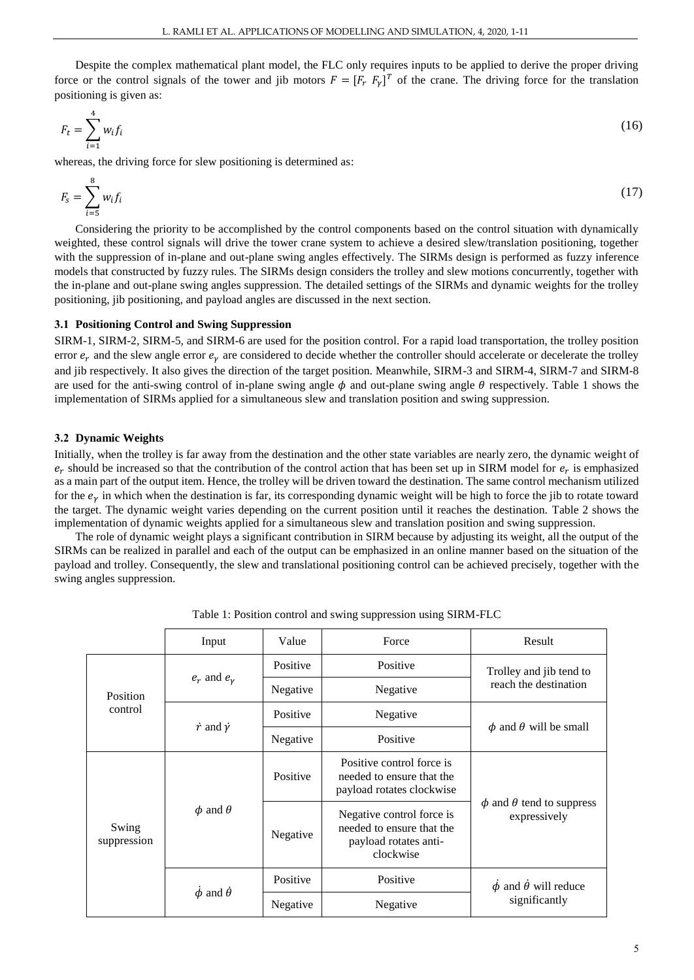Despite the complex mathematical plant model, the FLC only requires inputs to be applied to derive the proper driving force or the control signals of the tower and jib motors  $F = [F_r \ F_{\gamma}]^T$  of the crane. The driving force for the translation positioning is given as:

$$
F_t = \sum_{i=1}^4 w_i f_i \tag{16}
$$

whereas, the driving force for slew positioning is determined as:

$$
F_s = \sum_{i=5}^{8} w_i f_i
$$
 (17)

Considering the priority to be accomplished by the control components based on the control situation with dynamically weighted, these control signals will drive the tower crane system to achieve a desired slew/translation positioning, together with the suppression of in-plane and out-plane swing angles effectively. The SIRMs design is performed as fuzzy inference models that constructed by fuzzy rules. The SIRMs design considers the trolley and slew motions concurrently, together with the in-plane and out-plane swing angles suppression. The detailed settings of the SIRMs and dynamic weights for the trolley positioning, jib positioning, and payload angles are discussed in the next section.

#### **3.1 Positioning Control and Swing Suppression**

SIRM-1, SIRM-2, SIRM-5, and SIRM-6 are used for the position control. For a rapid load transportation, the trolley position error  $e_r$  and the slew angle error  $e_v$  are considered to decide whether the controller should accelerate or decelerate the trolley and jib respectively. It also gives the direction of the target position. Meanwhile, SIRM-3 and SIRM-4, SIRM-7 and SIRM-8 are used for the anti-swing control of in-plane swing angle  $\phi$  and out-plane swing angle  $\theta$  respectively. Table 1 shows the implementation of SIRMs applied for a simultaneous slew and translation position and swing suppression.

#### **3.2 Dynamic Weights**

Initially, when the trolley is far away from the destination and the other state variables are nearly zero, the dynamic weight of  $e_r$  should be increased so that the contribution of the control action that has been set up in SIRM model for  $e_r$  is emphasized as a main part of the output item. Hence, the trolley will be driven toward the destination. The same control mechanism utilized for the  $e<sub>v</sub>$  in which when the destination is far, its corresponding dynamic weight will be high to force the jib to rotate toward the target. The dynamic weight varies depending on the current position until it reaches the destination. Table 2 shows the implementation of dynamic weights applied for a simultaneous slew and translation position and swing suppression.

The role of dynamic weight plays a significant contribution in SIRM because by adjusting its weight, all the output of the SIRMs can be realized in parallel and each of the output can be emphasized in an online manner based on the situation of the payload and trolley. Consequently, the slew and translational positioning control can be achieved precisely, together with the swing angles suppression.

|                      | Input                           | Value    | Force                                                                                        | Result                                               |  |
|----------------------|---------------------------------|----------|----------------------------------------------------------------------------------------------|------------------------------------------------------|--|
| Position<br>control  | $e_r$ and $e_\gamma$            | Positive | Positive                                                                                     | Trolley and jib tend to                              |  |
|                      |                                 | Negative | Negative                                                                                     | reach the destination                                |  |
|                      | $\dot{r}$ and $\dot{\gamma}$    | Positive | Negative                                                                                     |                                                      |  |
|                      |                                 | Negative | Positive                                                                                     | $\phi$ and $\theta$ will be small                    |  |
| Swing<br>suppression | $\phi$ and $\theta$             | Positive | Positive control force is<br>needed to ensure that the<br>payload rotates clockwise          | $\phi$ and $\theta$ tend to suppress<br>expressively |  |
|                      |                                 | Negative | Negative control force is<br>needed to ensure that the<br>payload rotates anti-<br>clockwise |                                                      |  |
|                      | $\dot{\phi}$ and $\dot{\theta}$ | Positive | Positive                                                                                     | $\dot{\phi}$ and $\dot{\theta}$ will reduce          |  |
|                      |                                 | Negative | Negative                                                                                     | significantly                                        |  |

Table 1: Position control and swing suppression using SIRM-FLC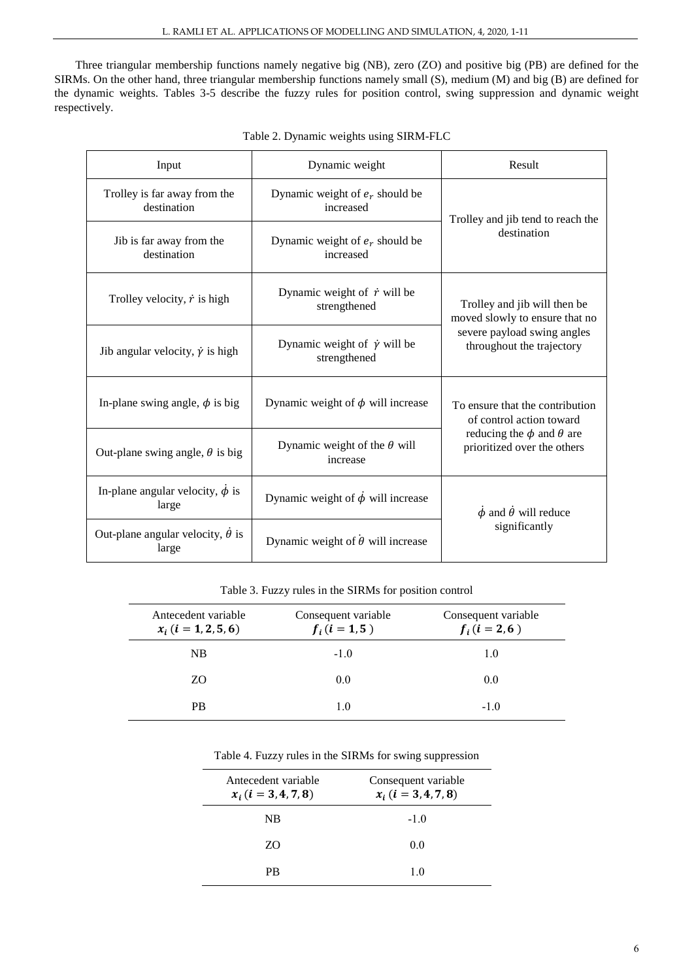Three triangular membership functions namely negative big (NB), zero (ZO) and positive big (PB) are defined for the SIRMs. On the other hand, three triangular membership functions namely small (S), medium (M) and big (B) are defined for the dynamic weights. Tables 3-5 describe the fuzzy rules for position control, swing suppression and dynamic weight respectively.

| Dynamic weight<br>Input                                |                                                          | Result                                                                                                                             |  |
|--------------------------------------------------------|----------------------------------------------------------|------------------------------------------------------------------------------------------------------------------------------------|--|
| Trolley is far away from the<br>destination            | Dynamic weight of $e_r$ should be<br>increased           | Trolley and jib tend to reach the                                                                                                  |  |
| Jib is far away from the<br>destination                | Dynamic weight of $e_r$ should be<br>increased           | destination                                                                                                                        |  |
| Trolley velocity, $\dot{r}$ is high                    | Dynamic weight of $\dot{r}$ will be<br>strengthened      | Trolley and jib will then be<br>moved slowly to ensure that no                                                                     |  |
| Jib angular velocity, $\dot{\gamma}$ is high           | Dynamic weight of $\dot{\gamma}$ will be<br>strengthened | severe payload swing angles<br>throughout the trajectory                                                                           |  |
| In-plane swing angle, $\phi$ is big                    | Dynamic weight of $\phi$ will increase                   | To ensure that the contribution<br>of control action toward<br>reducing the $\phi$ and $\theta$ are<br>prioritized over the others |  |
| Out-plane swing angle, $\theta$ is big                 | Dynamic weight of the $\theta$ will<br>increase          |                                                                                                                                    |  |
| In-plane angular velocity, $\phi$ is<br>large          | Dynamic weight of $\dot{\phi}$ will increase             |                                                                                                                                    |  |
| Out-plane angular velocity, $\dot{\theta}$ is<br>large | Dynamic weight of $\dot{\theta}$ will increase           | significantly                                                                                                                      |  |

Table 2. Dynamic weights using SIRM-FLC

Table 3. Fuzzy rules in the SIRMs for position control

| Antecedent variable<br>$x_i$ ( <i>i</i> = 1, 2, 5, 6) | Consequent variable<br>$f_i$ ( <i>i</i> = 1,5) | Consequent variable<br>$f_i$ ( <i>i</i> = 2,6) |
|-------------------------------------------------------|------------------------------------------------|------------------------------------------------|
| NB                                                    | $-1.0$                                         | 1.0                                            |
| ZO.                                                   | 0.0                                            | 0.0                                            |
| <b>PB</b>                                             | 1.0                                            | $-1.0$                                         |

# Table 4. Fuzzy rules in the SIRMs for swing suppression

| Antecedent variable<br>$x_i$ ( <i>i</i> = 3, 4, 7, 8) | Consequent variable<br>$x_i$ ( <i>i</i> = 3, 4, 7, 8) |
|-------------------------------------------------------|-------------------------------------------------------|
| $_{\rm NB}$                                           | $-1.0$                                                |
| ZO                                                    | 0.0                                                   |
| PR                                                    | 10                                                    |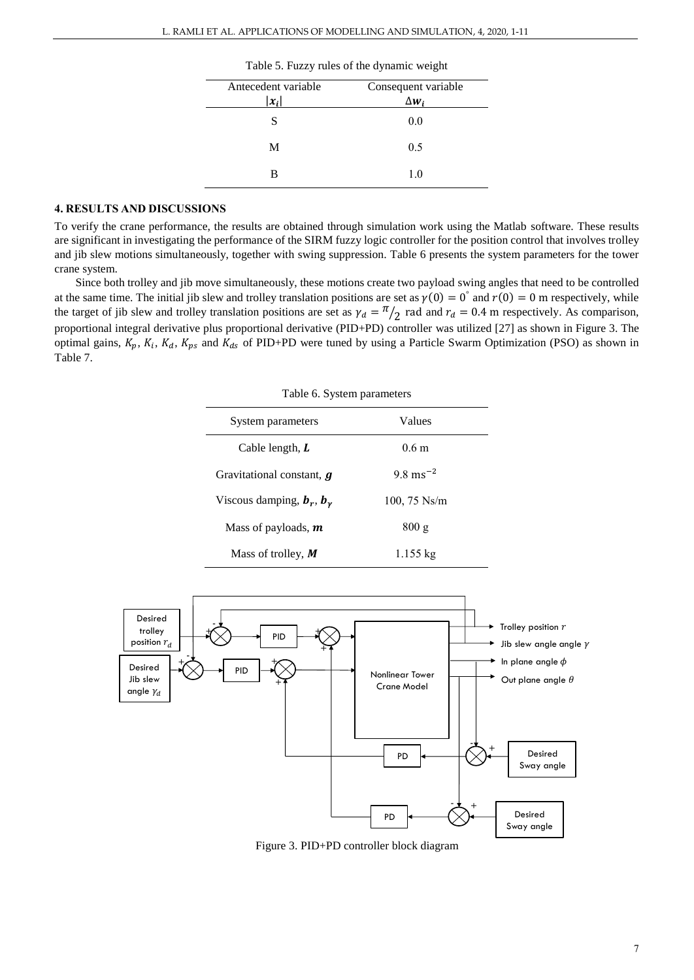| Antecedent variable | Consequent variable |
|---------------------|---------------------|
| $ x_i $             | $\Delta w$          |
| S                   | 0.0                 |
| M                   | 0.5                 |
| в                   | 1.0                 |
|                     |                     |

Table 5. Fuzzy rules of the dynamic weight

### **4. RESULTS AND DISCUSSIONS**

To verify the crane performance, the results are obtained through simulation work using the Matlab software. These results are significant in investigating the performance of the SIRM fuzzy logic controller for the position control that involves trolley and jib slew motions simultaneously, together with swing suppression. Table 6 presents the system parameters for the tower crane system.

Since both trolley and jib move simultaneously, these motions create two payload swing angles that need to be controlled at the same time. The initial jib slew and trolley translation positions are set as  $\gamma(0) = 0$ <sup>o</sup> and  $r(0) = 0$  m respectively, while the target of jib slew and trolley translation positions are set as  $\gamma_d = \frac{\pi}{2}$  rad and  $r_d = 0.4$  m respectively. As comparison, proportional integral derivative plus proportional derivative (PID+PD) controller was utilized [27] as shown in Figure 3. The optimal gains,  $K_p$ ,  $K_i$ ,  $K_d$ ,  $K_{ps}$  and  $K_{ds}$  of PID+PD were tuned by using a Particle Swarm Optimization (PSO) as shown in Table 7.

| Table 6. System parameters       |                       |  |  |
|----------------------------------|-----------------------|--|--|
| System parameters                | Values                |  |  |
| Cable length, L                  | 0.6 <sub>m</sub>      |  |  |
| Gravitational constant, <i>q</i> | $9.8 \text{ ms}^{-2}$ |  |  |
| Viscous damping, $b_r$ , $b_v$   | $100, 75$ Ns/m        |  |  |
| Mass of payloads, $m$            | 800 g                 |  |  |
| Mass of trolley, $M$             | $1.155 \text{ kg}$    |  |  |



Figure 3. PID+PD controller block diagram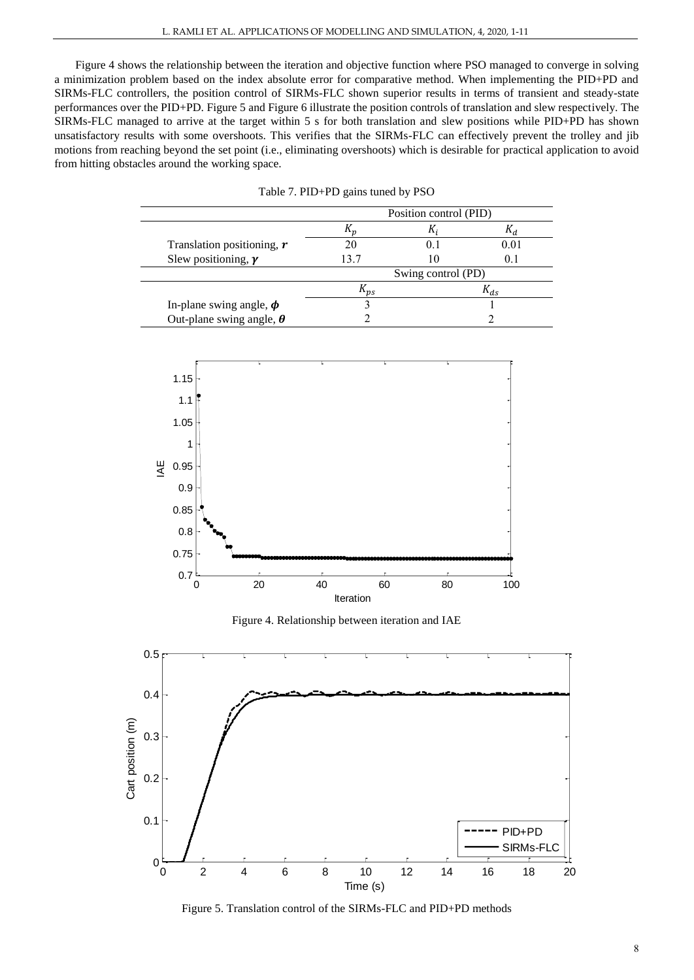Figure 4 shows the relationship between the iteration and objective function where PSO managed to converge in solving a minimization problem based on the index absolute error for comparative method. When implementing the PID+PD and SIRMs-FLC controllers, the position control of SIRMs-FLC shown superior results in terms of transient and steady-state performances over the PID+PD. Figure 5 and Figure 6 illustrate the position controls of translation and slew respectively. The SIRMs-FLC managed to arrive at the target within 5 s for both translation and slew positions while PID+PD has shown unsatisfactory results with some overshoots. This verifies that the SIRMs-FLC can effectively prevent the trolley and jib motions from reaching beyond the set point (i.e., eliminating overshoots) which is desirable for practical application to avoid from hitting obstacles around the working space.

|                                 |          | Position control (PID) |          |
|---------------------------------|----------|------------------------|----------|
|                                 |          |                        |          |
| Translation positioning, $r$    |          | 0.1                    | 0.01     |
| Slew positioning, $\gamma$      | 13.7     | 10                     | 0.1      |
|                                 |          | Swing control (PD)     |          |
|                                 | $n_{ps}$ |                        | $K_{ds}$ |
| In-plane swing angle, $\phi$    |          |                        |          |
| Out-plane swing angle, $\theta$ |          |                        |          |

|  | Table 7. PID+PD gains tuned by PSO |  |  |  |  |
|--|------------------------------------|--|--|--|--|
|--|------------------------------------|--|--|--|--|



Figure 4. Relationship between iteration and IAE



Figure 5. Translation control of the SIRMs-FLC and PID+PD methods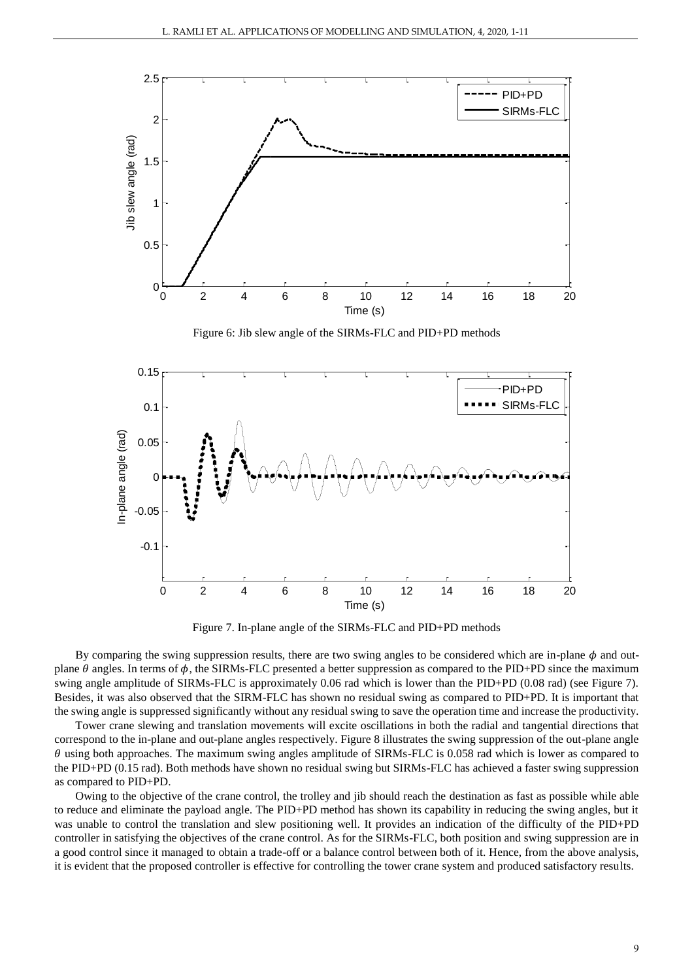

Figure 6: Jib slew angle of the SIRMs-FLC and PID+PD methods



Figure 7. In-plane angle of the SIRMs-FLC and PID+PD methods

By comparing the swing suppression results, there are two swing angles to be considered which are in-plane  $\phi$  and outplane  $\theta$  angles. In terms of  $\phi$ , the SIRMs-FLC presented a better suppression as compared to the PID+PD since the maximum swing angle amplitude of SIRMs-FLC is approximately 0.06 rad which is lower than the PID+PD (0.08 rad) (see Figure 7). Besides, it was also observed that the SIRM-FLC has shown no residual swing as compared to PID+PD. It is important that the swing angle is suppressed significantly without any residual swing to save the operation time and increase the productivity.

Tower crane slewing and translation movements will excite oscillations in both the radial and tangential directions that correspond to the in-plane and out-plane angles respectively. Figure 8 illustrates the swing suppression of the out-plane angle  $\theta$  using both approaches. The maximum swing angles amplitude of SIRMs-FLC is 0.058 rad which is lower as compared to the PID+PD (0.15 rad). Both methods have shown no residual swing but SIRMs-FLC has achieved a faster swing suppression as compared to PID+PD.

Owing to the objective of the crane control, the trolley and jib should reach the destination as fast as possible while able to reduce and eliminate the payload angle. The PID+PD method has shown its capability in reducing the swing angles, but it was unable to control the translation and slew positioning well. It provides an indication of the difficulty of the PID+PD controller in satisfying the objectives of the crane control. As for the SIRMs-FLC, both position and swing suppression are in a good control since it managed to obtain a trade-off or a balance control between both of it. Hence, from the above analysis, it is evident that the proposed controller is effective for controlling the tower crane system and produced satisfactory results.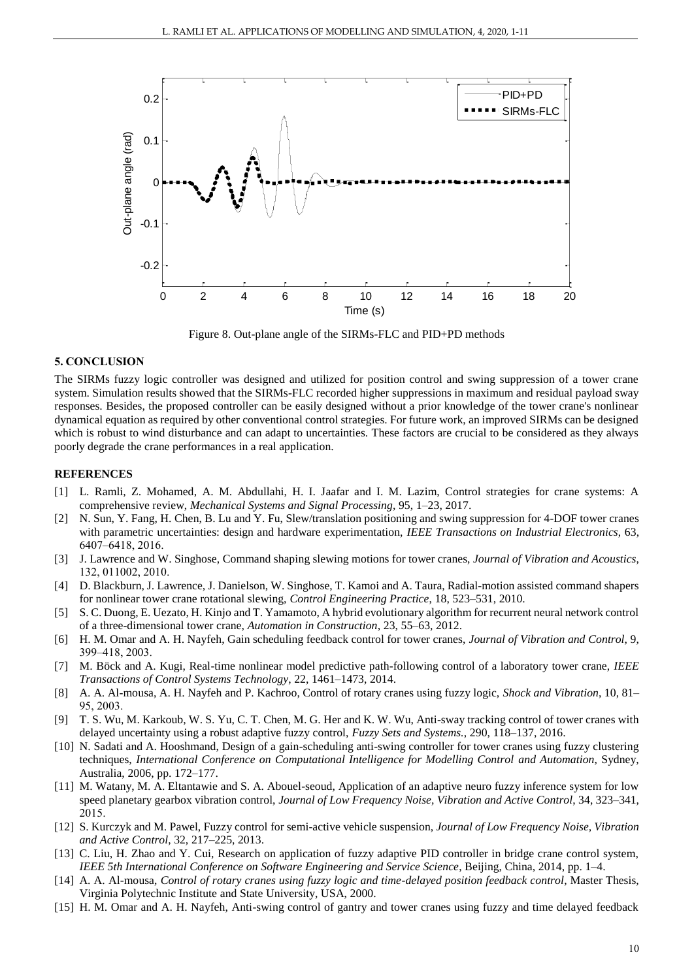

Figure 8. Out-plane angle of the SIRMs-FLC and PID+PD methods

#### **5. CONCLUSION**

The SIRMs fuzzy logic controller was designed and utilized for position control and swing suppression of a tower crane system. Simulation results showed that the SIRMs-FLC recorded higher suppressions in maximum and residual payload sway responses. Besides, the proposed controller can be easily designed without a prior knowledge of the tower crane's nonlinear dynamical equation as required by other conventional control strategies. For future work, an improved SIRMs can be designed which is robust to wind disturbance and can adapt to uncertainties. These factors are crucial to be considered as they always poorly degrade the crane performances in a real application.

#### **REFERENCES**

- [1] L. Ramli, Z. Mohamed, A. M. Abdullahi, H. I. Jaafar and I. M. Lazim, Control strategies for crane systems: A comprehensive review, *Mechanical Systems and Signal Processing*, 95, 1–23, 2017.
- [2] N. Sun, Y. Fang, H. Chen, B. Lu and Y. Fu, Slew/translation positioning and swing suppression for 4-DOF tower cranes with parametric uncertainties: design and hardware experimentation, *IEEE Transactions on Industrial Electronics*, 63, 6407–6418, 2016.
- [3] J. Lawrence and W. Singhose, Command shaping slewing motions for tower cranes, *Journal of Vibration and Acoustics*, 132, 011002, 2010.
- [4] D. Blackburn, J. Lawrence, J. Danielson, W. Singhose, T. Kamoi and A. Taura, Radial-motion assisted command shapers for nonlinear tower crane rotational slewing, *Control Engineering Practice*, 18, 523–531, 2010.
- [5] S. C. Duong, E. Uezato, H. Kinjo and T. Yamamoto, A hybrid evolutionary algorithm for recurrent neural network control of a three-dimensional tower crane, *Automation in Construction*, 23, 55–63, 2012.
- [6] H. M. Omar and A. H. Nayfeh, Gain scheduling feedback control for tower cranes, *Journal of Vibration and Control*, 9, 399–418, 2003.
- [7] M. Böck and A. Kugi, Real-time nonlinear model predictive path-following control of a laboratory tower crane, *IEEE Transactions of Control Systems Technology*, 22, 1461–1473, 2014.
- [8] A. A. Al-mousa, A. H. Nayfeh and P. Kachroo, Control of rotary cranes using fuzzy logic, *Shock and Vibration*, 10, 81– 95, 2003.
- [9] T. S. Wu, M. Karkoub, W. S. Yu, C. T. Chen, M. G. Her and K. W. Wu, Anti-sway tracking control of tower cranes with delayed uncertainty using a robust adaptive fuzzy control, *Fuzzy Sets and Systems.*, 290, 118–137, 2016.
- [10] N. Sadati and A. Hooshmand, Design of a gain-scheduling anti-swing controller for tower cranes using fuzzy clustering techniques, *International Conference on Computational Intelligence for Modelling Control and Automation*, Sydney, Australia, 2006, pp. 172–177.
- [11] M. Watany, M. A. Eltantawie and S. A. Abouel-seoud, Application of an adaptive neuro fuzzy inference system for low speed planetary gearbox vibration control, *Journal of Low Frequency Noise, Vibration and Active Control*, 34, 323–341, 2015.
- [12] S. Kurczyk and M. Pawel, Fuzzy control for semi-active vehicle suspension, *Journal of Low Frequency Noise, Vibration and Active Control*, 32, 217–225, 2013.
- [13] C. Liu, H. Zhao and Y. Cui, Research on application of fuzzy adaptive PID controller in bridge crane control system, *IEEE 5th International Conference on Software Engineering and Service Science*, Beijing, China, 2014, pp. 1–4.
- [14] A. A. Al-mousa, *Control of rotary cranes using fuzzy logic and time-delayed position feedback control*, Master Thesis, Virginia Polytechnic Institute and State University, USA, 2000.
- [15] H. M. Omar and A. H. Nayfeh, Anti-swing control of gantry and tower cranes using fuzzy and time delayed feedback